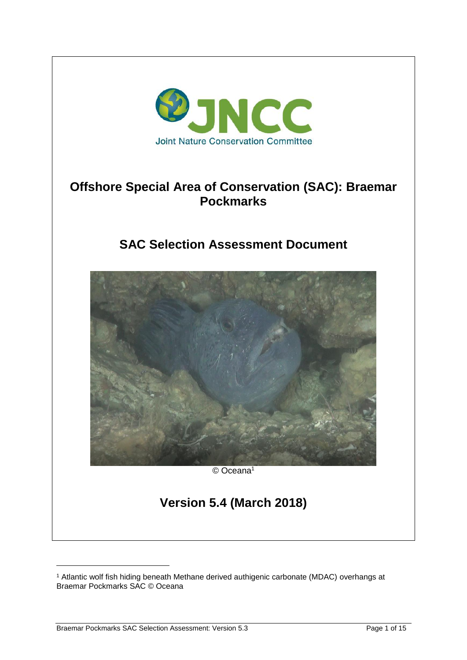

# **Offshore Special Area of Conservation (SAC): Braemar Pockmarks**

# **SAC Selection Assessment Document**



© Oceana<sup>1</sup>

# **Version 5.4 (March 2018)**

-

<sup>1</sup> Atlantic wolf fish hiding beneath Methane derived authigenic carbonate (MDAC) overhangs at Braemar Pockmarks SAC © Oceana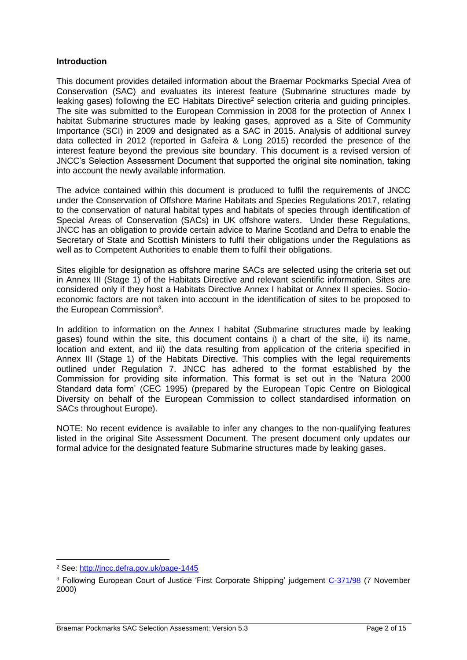#### **Introduction**

This document provides detailed information about the Braemar Pockmarks Special Area of Conservation (SAC) and evaluates its interest feature (Submarine structures made by leaking gases) following the EC Habitats Directive<sup>2</sup> selection criteria and guiding principles. The site was submitted to the European Commission in 2008 for the protection of Annex I habitat Submarine structures made by leaking gases, approved as a Site of Community Importance (SCI) in 2009 and designated as a SAC in 2015. Analysis of additional survey data collected in 2012 (reported in Gafeira & Long 2015) recorded the presence of the interest feature beyond the previous site boundary. This document is a revised version of JNCC's Selection Assessment Document that supported the original site nomination, taking into account the newly available information.

The advice contained within this document is produced to fulfil the requirements of JNCC under the Conservation of Offshore Marine Habitats and Species Regulations 2017, relating to the conservation of natural habitat types and habitats of species through identification of Special Areas of Conservation (SACs) in UK offshore waters. Under these Regulations, JNCC has an obligation to provide certain advice to Marine Scotland and Defra to enable the Secretary of State and Scottish Ministers to fulfil their obligations under the Regulations as well as to Competent Authorities to enable them to fulfil their obligations.

Sites eligible for designation as offshore marine SACs are selected using the criteria set out in Annex III (Stage 1) of the Habitats Directive and relevant scientific information. Sites are considered only if they host a Habitats Directive Annex I habitat or Annex II species. Socioeconomic factors are not taken into account in the identification of sites to be proposed to the European Commission<sup>3</sup>.

In addition to information on the Annex I habitat (Submarine structures made by leaking gases) found within the site, this document contains i) a chart of the site, ii) its name, location and extent, and iii) the data resulting from application of the criteria specified in Annex III (Stage 1) of the Habitats Directive. This complies with the legal requirements outlined under Regulation 7. JNCC has adhered to the format established by the Commission for providing site information. This format is set out in the 'Natura 2000 Standard data form' (CEC 1995) (prepared by the European Topic Centre on Biological Diversity on behalf of the European Commission to collect standardised information on SACs throughout Europe).

NOTE: No recent evidence is available to infer any changes to the non-qualifying features listed in the original Site Assessment Document. The present document only updates our formal advice for the designated feature Submarine structures made by leaking gases.

 $\overline{a}$ 

<sup>2</sup> See:<http://jncc.defra.gov.uk/page-1445>

<sup>&</sup>lt;sup>3</sup> Following European Court of Justice 'First Corporate Shipping' judgement [C-371/98](http://curia.europa.eu/jurisp/cgi-bin/form.pl?lang=en&newform=newform&jurcdj=jurcdj&docj=docj&typeord=ALLTYP&numaff=&ddatefs=&mdatefs=&ydatefs=&ddatefe=&mdatefe=&ydatefe=&nomusuel=first+corporate+shipping&domaine=&mots=&resmax=100&Submit=Submit) (7 November 2000)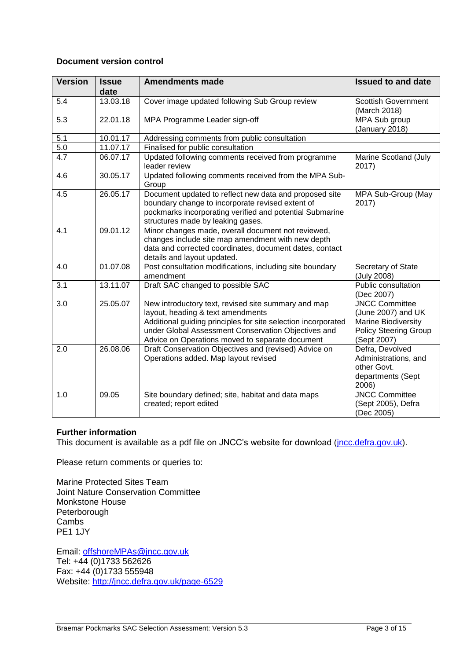# **Document version control**

| <b>Version</b> | <b>Issue</b><br>date | <b>Amendments made</b>                                                                                                                                                                                                                                              | <b>Issued to and date</b>                                                                                         |
|----------------|----------------------|---------------------------------------------------------------------------------------------------------------------------------------------------------------------------------------------------------------------------------------------------------------------|-------------------------------------------------------------------------------------------------------------------|
| 5.4            | 13.03.18             | Cover image updated following Sub Group review                                                                                                                                                                                                                      | <b>Scottish Government</b><br>(March 2018)                                                                        |
| 5.3            | 22.01.18             | MPA Programme Leader sign-off                                                                                                                                                                                                                                       | MPA Sub group<br>(January 2018)                                                                                   |
| 5.1            | 10.01.17             | Addressing comments from public consultation                                                                                                                                                                                                                        |                                                                                                                   |
| 5.0            | 11.07.17             | Finalised for public consultation                                                                                                                                                                                                                                   |                                                                                                                   |
| 4.7            | 06.07.17             | Updated following comments received from programme<br>leader review                                                                                                                                                                                                 | Marine Scotland (July<br>2017)                                                                                    |
| 4.6            | 30.05.17             | Updated following comments received from the MPA Sub-<br>Group                                                                                                                                                                                                      |                                                                                                                   |
| 4.5            | 26.05.17             | Document updated to reflect new data and proposed site<br>boundary change to incorporate revised extent of<br>pockmarks incorporating verified and potential Submarine<br>structures made by leaking gases.                                                         | MPA Sub-Group (May<br>2017)                                                                                       |
| 4.1            | 09.01.12             | Minor changes made, overall document not reviewed,<br>changes include site map amendment with new depth<br>data and corrected coordinates, document dates, contact<br>details and layout updated.                                                                   |                                                                                                                   |
| 4.0            | 01.07.08             | Post consultation modifications, including site boundary<br>amendment                                                                                                                                                                                               | Secretary of State<br>(July 2008)                                                                                 |
| 3.1            | 13.11.07             | Draft SAC changed to possible SAC                                                                                                                                                                                                                                   | Public consultation<br>(Dec 2007)                                                                                 |
| 3.0            | 25.05.07             | New introductory text, revised site summary and map<br>layout, heading & text amendments<br>Additional guiding principles for site selection incorporated<br>under Global Assessment Conservation Objectives and<br>Advice on Operations moved to separate document | <b>JNCC Committee</b><br>(June 2007) and UK<br>Marine Biodiversity<br><b>Policy Steering Group</b><br>(Sept 2007) |
| 2.0            | 26.08.06             | Draft Conservation Objectives and (revised) Advice on<br>Operations added. Map layout revised                                                                                                                                                                       | Defra, Devolved<br>Administrations, and<br>other Govt.<br>departments (Sept<br>2006)                              |
| 1.0            | 09.05                | Site boundary defined; site, habitat and data maps<br>created; report edited                                                                                                                                                                                        | <b>JNCC Committee</b><br>(Sept 2005), Defra<br>(Dec 2005)                                                         |

# **Further information**

This document is available as a pdf file on JNCC's website for download (*jncc.defra.gov.uk*).

Please return comments or queries to:

Marine Protected Sites Team Joint Nature Conservation Committee Monkstone House Peterborough Cambs PE1 1JY

Email: [offshoreMPAs@jncc.gov.uk](mailto:offshoreMPAs@jncc.gov.uk) Tel: +44 (0)1733 562626 Fax:  $+44(0)1733555948$ Website:<http://jncc.defra.gov.uk/page-6529>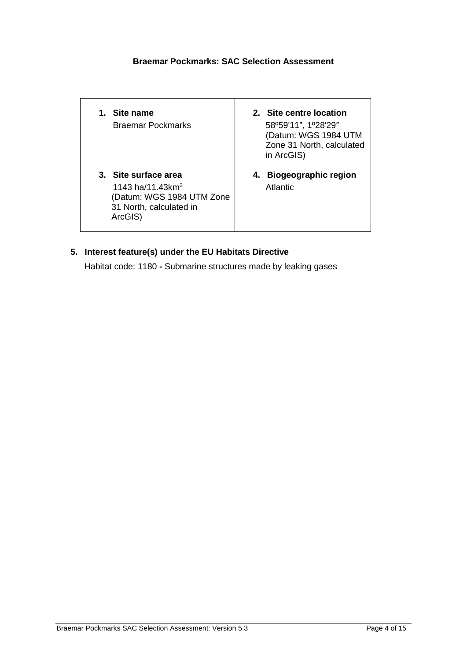# **Braemar Pockmarks: SAC Selection Assessment**

| Site name<br>$1_{-}$<br><b>Braemar Pockmarks</b>                                                                | 2. Site centre location<br>58°59'11", 1°28'29"<br>(Datum: WGS 1984 UTM<br>Zone 31 North, calculated<br>in ArcGIS) |
|-----------------------------------------------------------------------------------------------------------------|-------------------------------------------------------------------------------------------------------------------|
| 3. Site surface area<br>1143 ha/11.43 $km^2$<br>(Datum: WGS 1984 UTM Zone<br>31 North, calculated in<br>ArcGIS) | 4. Biogeographic region<br>Atlantic                                                                               |

# **5. Interest feature(s) under the EU Habitats Directive**

Habitat code: 1180 **-** Submarine structures made by leaking gases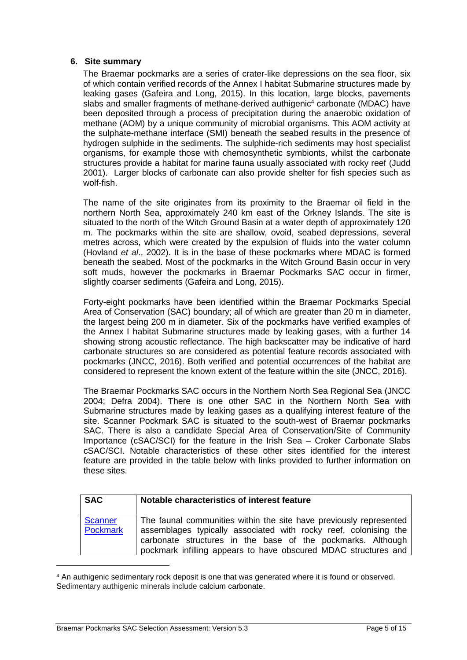#### **6. Site summary**

The Braemar pockmarks are a series of crater-like depressions on the sea floor, six of which contain verified records of the Annex I habitat Submarine structures made by leaking gases (Gafeira and Long, 2015). In this location, large blocks, pavements slabs and smaller fragments of methane-derived authigenic<sup>4</sup> carbonate (MDAC) have been deposited through a process of precipitation during the anaerobic oxidation of methane (AOM) by a unique community of microbial organisms. This AOM activity at the sulphate-methane interface (SMI) beneath the seabed results in the presence of hydrogen sulphide in the sediments. The sulphide-rich sediments may host specialist organisms, for example those with chemosynthetic symbionts, whilst the carbonate structures provide a habitat for marine fauna usually associated with rocky reef (Judd 2001). Larger blocks of carbonate can also provide shelter for fish species such as wolf-fish.

The name of the site originates from its proximity to the Braemar oil field in the northern North Sea, approximately 240 km east of the Orkney Islands. The site is situated to the north of the Witch Ground Basin at a water depth of approximately 120 m. The pockmarks within the site are shallow, ovoid, seabed depressions, several metres across, which were created by the expulsion of fluids into the water column (Hovland *et al*., 2002). It is in the base of these pockmarks where MDAC is formed beneath the seabed. Most of the pockmarks in the Witch Ground Basin occur in very soft muds, however the pockmarks in Braemar Pockmarks SAC occur in firmer, slightly coarser sediments (Gafeira and Long, 2015).

Forty-eight pockmarks have been identified within the Braemar Pockmarks Special Area of Conservation (SAC) boundary; all of which are greater than 20 m in diameter, the largest being 200 m in diameter. Six of the pockmarks have verified examples of the Annex I habitat Submarine structures made by leaking gases, with a further 14 showing strong acoustic reflectance. The high backscatter may be indicative of hard carbonate structures so are considered as potential feature records associated with pockmarks (JNCC, 2016). Both verified and potential occurrences of the habitat are considered to represent the known extent of the feature within the site (JNCC, 2016).

The Braemar Pockmarks SAC occurs in the Northern North Sea Regional Sea (JNCC 2004; Defra 2004). There is one other SAC in the Northern North Sea with Submarine structures made by leaking gases as a qualifying interest feature of the site. Scanner Pockmark SAC is situated to the south-west of Braemar pockmarks SAC. There is also a candidate Special Area of Conservation/Site of Community Importance (cSAC/SCI) for the feature in the Irish Sea – Croker Carbonate Slabs cSAC/SCI. Notable characteristics of these other sites identified for the interest feature are provided in the table below with links provided to further information on these sites.

| <b>SAC</b>                 | Notable characteristics of interest feature                                                                                                                                                                                                                              |  |  |  |
|----------------------------|--------------------------------------------------------------------------------------------------------------------------------------------------------------------------------------------------------------------------------------------------------------------------|--|--|--|
| <b>Scanner</b><br>Pockmark | The faunal communities within the site have previously represented<br>assemblages typically associated with rocky reef, colonising the<br>carbonate structures in the base of the pockmarks. Although<br>pockmark infilling appears to have obscured MDAC structures and |  |  |  |

<sup>4</sup> An authigenic sedimentary rock deposit is one that was generated where it is found or observed. Sedimentary authigenic minerals include calcium carbonate.

-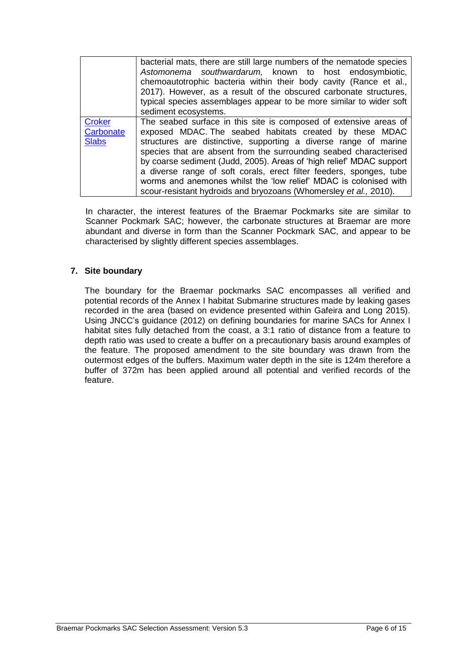|                                            | bacterial mats, there are still large numbers of the nematode species<br>Astomonema southwardarum, known to host endosymbiotic,<br>chemoautotrophic bacteria within their body cavity (Rance et al.,<br>2017). However, as a result of the obscured carbonate structures,<br>typical species assemblages appear to be more similar to wider soft<br>sediment ecosystems.                                                                                                                                                                                       |
|--------------------------------------------|----------------------------------------------------------------------------------------------------------------------------------------------------------------------------------------------------------------------------------------------------------------------------------------------------------------------------------------------------------------------------------------------------------------------------------------------------------------------------------------------------------------------------------------------------------------|
| <b>Croker</b><br>Carbonate<br><b>Slabs</b> | The seabed surface in this site is composed of extensive areas of<br>exposed MDAC. The seabed habitats created by these MDAC<br>structures are distinctive, supporting a diverse range of marine<br>species that are absent from the surrounding seabed characterised<br>by coarse sediment (Judd, 2005). Areas of 'high relief' MDAC support<br>a diverse range of soft corals, erect filter feeders, sponges, tube<br>worms and anemones whilst the 'low relief' MDAC is colonised with<br>scour-resistant hydroids and bryozoans (Whomersley et al., 2010). |

In character, the interest features of the Braemar Pockmarks site are similar to Scanner Pockmark SAC; however, the carbonate structures at Braemar are more abundant and diverse in form than the Scanner Pockmark SAC, and appear to be characterised by slightly different species assemblages.

# **7. Site boundary**

The boundary for the Braemar pockmarks SAC encompasses all verified and potential records of the Annex I habitat Submarine structures made by leaking gases recorded in the area (based on evidence presented within Gafeira and Long 2015). Using JNCC's guidance (2012) on defining boundaries for marine SACs for Annex I habitat sites fully detached from the coast, a 3:1 ratio of distance from a feature to depth ratio was used to create a buffer on a precautionary basis around examples of the feature. The proposed amendment to the site boundary was drawn from the outermost edges of the buffers. Maximum water depth in the site is 124m therefore a buffer of 372m has been applied around all potential and verified records of the feature.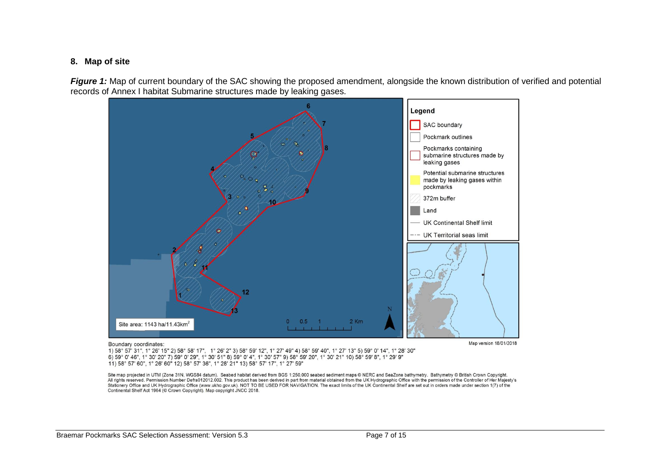#### **8. Map of site**

Figure 1: Map of current boundary of the SAC showing the proposed amendment, alongside the known distribution of verified and potential records of Annex I habitat Submarine structures made by leaking gases.



#### Boundary coordinates:

Map version 18/01/2018

1) 58° 57' 31", 1° 26' 15" 2) 58° 58' 17", 1° 26' 2" 3) 58° 59' 12", 1° 27' 49" 4) 58° 59' 40", 1° 27' 13" 5) 59° 0' 14", 1° 28' 30" 6) 59° 0' 46", 1° 30' 20" 7) 59° 0' 29", 1° 30' 51" 8) 59° 0' 4", 1° 30' 57" 9) 58° 59' 20", 1° 30' 21" 10) 58° 59' 8", 1° 29' 9" 11) 58° 57' 60", 1° 26' 60" 12) 58° 57' 36", 1° 28' 21" 13) 58° 57' 17", 1° 27' 59"

Site map projected in UTM (Zone 31N, WGS84 datum). Seabed habitat derived from BGS 1:250,000 seabed sediment maps @ NERC and SeaZone bathymetry. Bathymetry @ British Crown Copyright. All rights reserved. Permission Number Defra012012.002. This product has been derived in part from material obtained from the UK Hydrographic Office with the permission of the Controller of Her Majesty's Stationery Office and UK Hydrographic Office (www.ukho.gov.uk). NOT TO BE USED FOR NAVIGATION. The exact limits of the UK Continental Shelf are set out in orders made under section 1(7) of the Continental Shelf Act 1964 (© Crown Copyright). Map copyright JNCC 2018.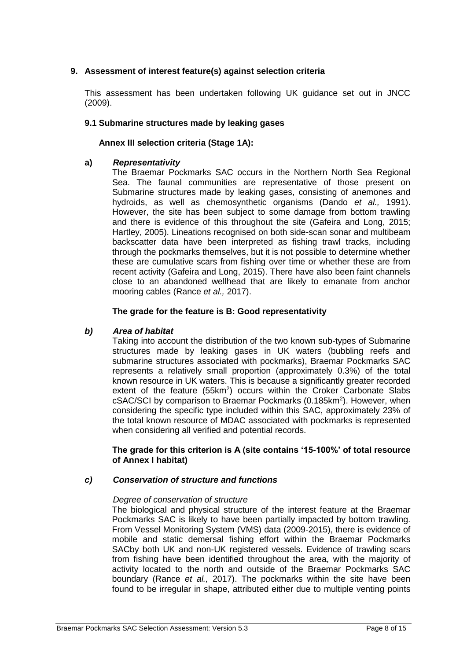# **9. Assessment of interest feature(s) against selection criteria**

This assessment has been undertaken following UK guidance set out in JNCC (2009).

# **9.1 Submarine structures made by leaking gases**

# **Annex III selection criteria (Stage 1A):**

#### **a)** *Representativity*

The Braemar Pockmarks SAC occurs in the Northern North Sea Regional Sea. The faunal communities are representative of those present on Submarine structures made by leaking gases, consisting of anemones and hydroids, as well as chemosynthetic organisms (Dando *et al.,* 1991). However, the site has been subject to some damage from bottom trawling and there is evidence of this throughout the site (Gafeira and Long, 2015; Hartley, 2005). Lineations recognised on both side-scan sonar and multibeam backscatter data have been interpreted as fishing trawl tracks, including through the pockmarks themselves, but it is not possible to determine whether these are cumulative scars from fishing over time or whether these are from recent activity (Gafeira and Long, 2015). There have also been faint channels close to an abandoned wellhead that are likely to emanate from anchor mooring cables (Rance *et al.,* 2017).

# **The grade for the feature is B: Good representativity**

## *b) Area of habitat*

Taking into account the distribution of the two known sub-types of Submarine structures made by leaking gases in UK waters (bubbling reefs and submarine structures associated with pockmarks), Braemar Pockmarks SAC represents a relatively small proportion (approximately 0.3%) of the total known resource in UK waters. This is because a significantly greater recorded extent of the feature  $(55km^2)$  occurs within the Croker Carbonate Slabs cSAC/SCI by comparison to Braemar Pockmarks (0.185km<sup>2</sup>). However, when considering the specific type included within this SAC, approximately 23% of the total known resource of MDAC associated with pockmarks is represented when considering all verified and potential records.

#### **The grade for this criterion is A (site contains '15-100%' of total resource of Annex I habitat)**

# *c) Conservation of structure and functions*

#### *Degree of conservation of structure*

The biological and physical structure of the interest feature at the Braemar Pockmarks SAC is likely to have been partially impacted by bottom trawling. From Vessel Monitoring System (VMS) data (2009-2015), there is evidence of mobile and static demersal fishing effort within the Braemar Pockmarks SACby both UK and non-UK registered vessels. Evidence of trawling scars from fishing have been identified throughout the area, with the majority of activity located to the north and outside of the Braemar Pockmarks SAC boundary (Rance *et al.,* 2017). The pockmarks within the site have been found to be irregular in shape, attributed either due to multiple venting points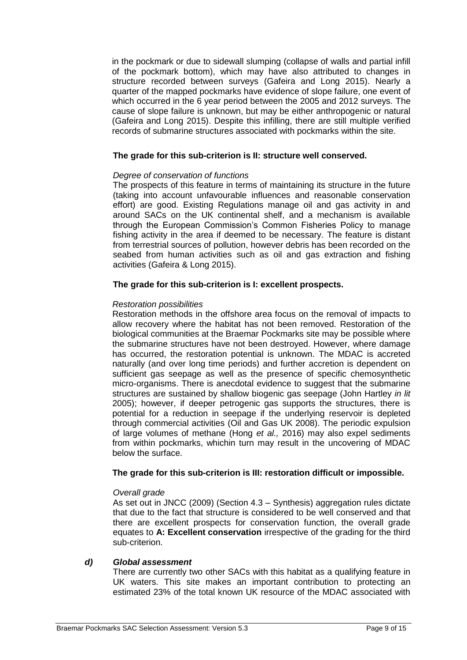in the pockmark or due to sidewall slumping (collapse of walls and partial infill of the pockmark bottom), which may have also attributed to changes in structure recorded between surveys (Gafeira and Long 2015). Nearly a quarter of the mapped pockmarks have evidence of slope failure, one event of which occurred in the 6 year period between the 2005 and 2012 surveys. The cause of slope failure is unknown, but may be either anthropogenic or natural (Gafeira and Long 2015). Despite this infilling, there are still multiple verified records of submarine structures associated with pockmarks within the site.

# **The grade for this sub-criterion is II: structure well conserved.**

# *Degree of conservation of functions*

The prospects of this feature in terms of maintaining its structure in the future (taking into account unfavourable influences and reasonable conservation effort) are good. Existing Regulations manage oil and gas activity in and around SACs on the UK continental shelf, and a mechanism is available through the European Commission's Common Fisheries Policy to manage fishing activity in the area if deemed to be necessary. The feature is distant from terrestrial sources of pollution, however debris has been recorded on the seabed from human activities such as oil and gas extraction and fishing activities (Gafeira & Long 2015).

# **The grade for this sub-criterion is I: excellent prospects.**

# *Restoration possibilities*

Restoration methods in the offshore area focus on the removal of impacts to allow recovery where the habitat has not been removed. Restoration of the biological communities at the Braemar Pockmarks site may be possible where the submarine structures have not been destroyed. However, where damage has occurred, the restoration potential is unknown. The MDAC is accreted naturally (and over long time periods) and further accretion is dependent on sufficient gas seepage as well as the presence of specific chemosynthetic micro-organisms. There is anecdotal evidence to suggest that the submarine structures are sustained by shallow biogenic gas seepage (John Hartley *in lit* 2005); however, if deeper petrogenic gas supports the structures, there is potential for a reduction in seepage if the underlying reservoir is depleted through commercial activities (Oil and Gas UK 2008). The periodic expulsion of large volumes of methane (Hong *et al.,* 2016) may also expel sediments from within pockmarks, whichin turn may result in the uncovering of MDAC below the surface.

# **The grade for this sub-criterion is III: restoration difficult or impossible.**

# *Overall grade*

As set out in JNCC (2009) (Section 4.3 – Synthesis) aggregation rules dictate that due to the fact that structure is considered to be well conserved and that there are excellent prospects for conservation function, the overall grade equates to **A: Excellent conservation** irrespective of the grading for the third sub-criterion.

# *d) Global assessment*

There are currently two other SACs with this habitat as a qualifying feature in UK waters. This site makes an important contribution to protecting an estimated 23% of the total known UK resource of the MDAC associated with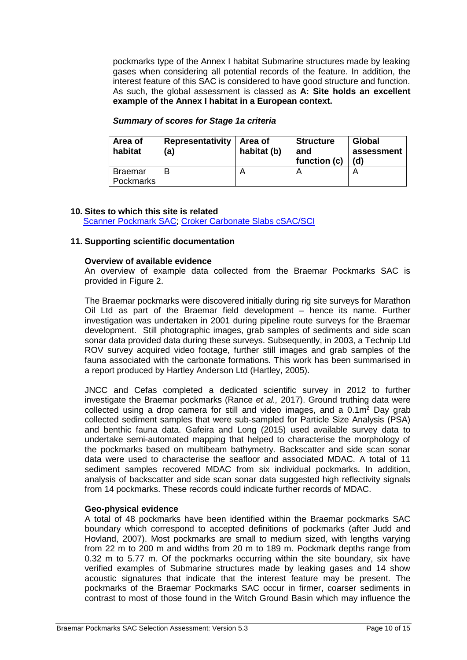pockmarks type of the Annex I habitat Submarine structures made by leaking gases when considering all potential records of the feature. In addition, the interest feature of this SAC is considered to have good structure and function. As such, the global assessment is classed as **A: Site holds an excellent example of the Annex I habitat in a European context.** 

| Area of<br>habitat          | <b>Representativity</b><br>(a) | Area of<br>habitat (b) | <b>Structure</b><br>and<br>function (c) | Global<br>assessment<br>(d) |
|-----------------------------|--------------------------------|------------------------|-----------------------------------------|-----------------------------|
| <b>Braemar</b><br>Pockmarks | B                              |                        |                                         |                             |

#### *Summary of scores for Stage 1a criteria*

#### **10. Sites to which this site is related**

[Scanner Pockmark SAC;](http://jncc.defra.gov.uk/page-6541) [Croker Carbonate Slabs cSAC/SCI](http://jncc.defra.gov.uk/page-6530)

#### **11. Supporting scientific documentation**

#### **Overview of available evidence**

An overview of example data collected from the Braemar Pockmarks SAC is provided in Figure 2.

The Braemar pockmarks were discovered initially during rig site surveys for Marathon Oil Ltd as part of the Braemar field development – hence its name. Further investigation was undertaken in 2001 during pipeline route surveys for the Braemar development. Still photographic images, grab samples of sediments and side scan sonar data provided data during these surveys. Subsequently, in 2003, a Technip Ltd ROV survey acquired video footage, further still images and grab samples of the fauna associated with the carbonate formations. This work has been summarised in a report produced by Hartley Anderson Ltd (Hartley, 2005).

JNCC and Cefas completed a dedicated scientific survey in 2012 to further investigate the Braemar pockmarks (Rance *et al.,* 2017). Ground truthing data were collected using a drop camera for still and video images, and a  $0.1<sup>2</sup>$  Day grab collected sediment samples that were sub-sampled for Particle Size Analysis (PSA) and benthic fauna data. Gafeira and Long (2015) used available survey data to undertake semi-automated mapping that helped to characterise the morphology of the pockmarks based on multibeam bathymetry. Backscatter and side scan sonar data were used to characterise the seafloor and associated MDAC. A total of 11 sediment samples recovered MDAC from six individual pockmarks. In addition, analysis of backscatter and side scan sonar data suggested high reflectivity signals from 14 pockmarks. These records could indicate further records of MDAC.

#### **Geo-physical evidence**

A total of 48 pockmarks have been identified within the Braemar pockmarks SAC boundary which correspond to accepted definitions of pockmarks (after Judd and Hovland, 2007). Most pockmarks are small to medium sized, with lengths varying from 22 m to 200 m and widths from 20 m to 189 m. Pockmark depths range from 0.32 m to 5.77 m. Of the pockmarks occurring within the site boundary, six have verified examples of Submarine structures made by leaking gases and 14 show acoustic signatures that indicate that the interest feature may be present. The pockmarks of the Braemar Pockmarks SAC occur in firmer, coarser sediments in contrast to most of those found in the Witch Ground Basin which may influence the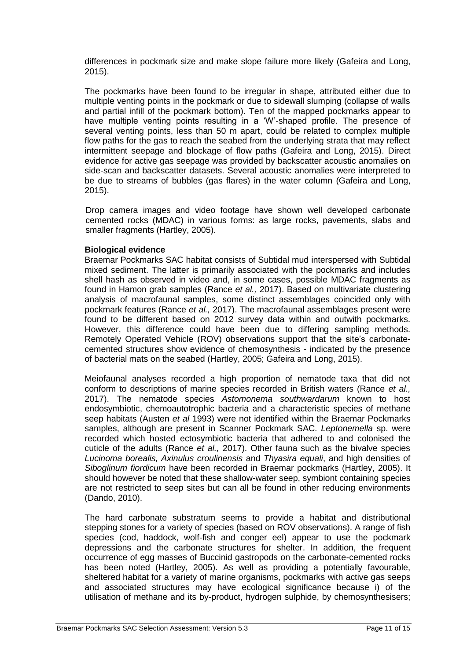differences in pockmark size and make slope failure more likely (Gafeira and Long, 2015).

The pockmarks have been found to be irregular in shape, attributed either due to multiple venting points in the pockmark or due to sidewall slumping (collapse of walls and partial infill of the pockmark bottom). Ten of the mapped pockmarks appear to have multiple venting points resulting in a 'W'-shaped profile. The presence of several venting points, less than 50 m apart, could be related to complex multiple flow paths for the gas to reach the seabed from the underlying strata that may reflect intermittent seepage and blockage of flow paths (Gafeira and Long, 2015). Direct evidence for active gas seepage was provided by backscatter acoustic anomalies on side-scan and backscatter datasets. Several acoustic anomalies were interpreted to be due to streams of bubbles (gas flares) in the water column (Gafeira and Long, 2015).

Drop camera images and video footage have shown well developed carbonate cemented rocks (MDAC) in various forms: as large rocks, pavements, slabs and smaller fragments (Hartley, 2005).

#### **Biological evidence**

Braemar Pockmarks SAC habitat consists of Subtidal mud interspersed with Subtidal mixed sediment. The latter is primarily associated with the pockmarks and includes shell hash as observed in video and, in some cases, possible MDAC fragments as found in Hamon grab samples (Rance *et al.,* 2017). Based on multivariate clustering analysis of macrofaunal samples, some distinct assemblages coincided only with pockmark features (Rance *et al.,* 2017). The macrofaunal assemblages present were found to be different based on 2012 survey data within and outwith pockmarks. However, this difference could have been due to differing sampling methods. Remotely Operated Vehicle (ROV) observations support that the site's carbonatecemented structures show evidence of chemosynthesis - indicated by the presence of bacterial mats on the seabed (Hartley, 2005; Gafeira and Long, 2015).

Meiofaunal analyses recorded a high proportion of nematode taxa that did not conform to descriptions of marine species recorded in British waters (Rance *et al.,* 2017). The nematode species *Astomonema southwardarum* known to host endosymbiotic, chemoautotrophic bacteria and a characteristic species of methane seep habitats (Austen *et al* 1993) were not identified within the Braemar Pockmarks samples, although are present in Scanner Pockmark SAC. *Leptonemella* sp. were recorded which hosted ectosymbiotic bacteria that adhered to and colonised the cuticle of the adults (Rance *et al.,* 2017). Other fauna such as the bivalve species *Lucinoma borealis, Axinulus croulinensis* and *Thyasira equali*, and high densities of *Siboglinum fiordicum* have been recorded in Braemar pockmarks (Hartley, 2005). It should however be noted that these shallow-water seep, symbiont containing species are not restricted to seep sites but can all be found in other reducing environments (Dando, 2010).

The hard carbonate substratum seems to provide a habitat and distributional stepping stones for a variety of species (based on ROV observations). A range of fish species (cod, haddock, wolf-fish and conger eel) appear to use the pockmark depressions and the carbonate structures for shelter. In addition, the frequent occurrence of egg masses of Buccinid gastropods on the carbonate-cemented rocks has been noted (Hartley, 2005). As well as providing a potentially favourable, sheltered habitat for a variety of marine organisms, pockmarks with active gas seeps and associated structures may have ecological significance because i) of the utilisation of methane and its by-product, hydrogen sulphide, by chemosynthesisers;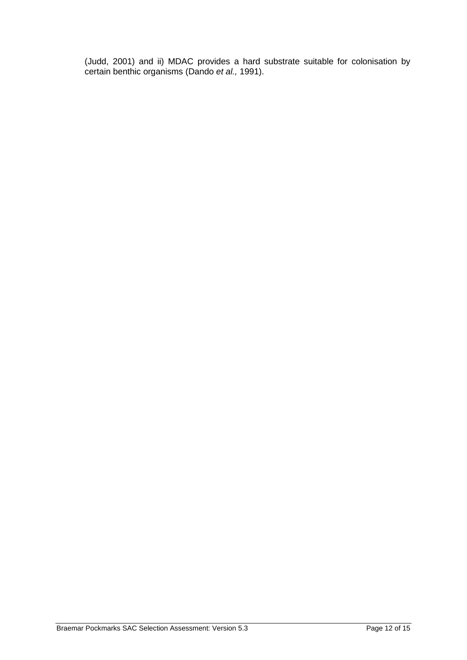(Judd, 2001) and ii) MDAC provides a hard substrate suitable for colonisation by certain benthic organisms (Dando *et al.,* 1991).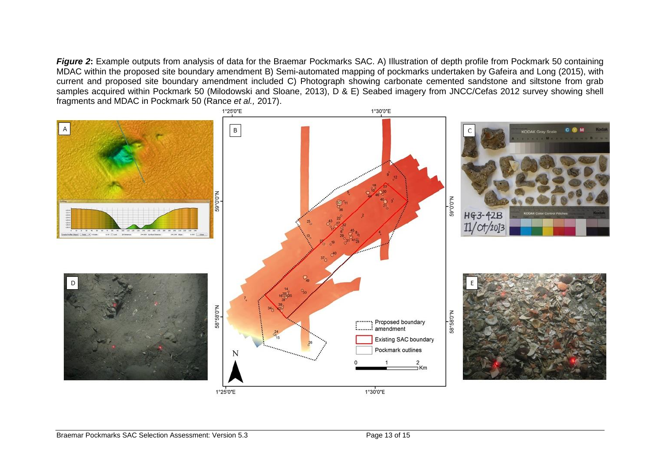**Figure 2:** Example outputs from analysis of data for the Braemar Pockmarks SAC. A) Illustration of depth profile from Pockmark 50 containing MDAC within the proposed site boundary amendment B) Semi-automated mapping of pockmarks undertaken by Gafeira and Long (2015), with current and proposed site boundary amendment included C) Photograph showing carbonate cemented sandstone and siltstone from grab samples acquired within Pockmark 50 (Milodowski and Sloane, 2013), D & E) Seabed imagery from JNCC/Cefas 2012 survey showing shell fragments and MDAC in Pockmark 50 (Rance *et al.,* 2017).

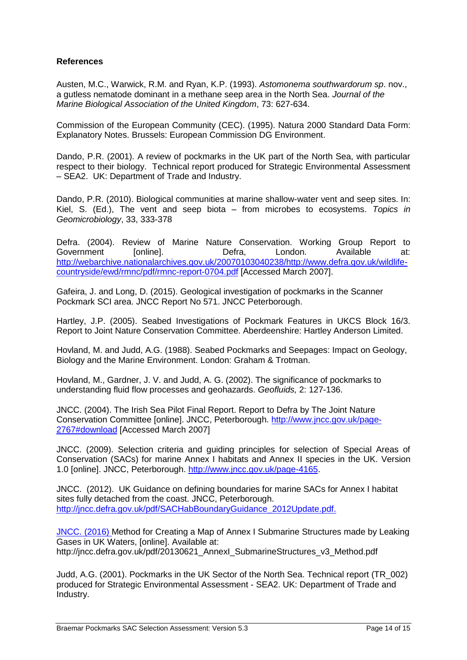# **References**

Austen, M.C., Warwick, R.M. and Ryan, K.P. (1993). *Astomonema southwardorum sp*. nov., a gutless nematode dominant in a methane seep area in the North Sea. *Journal of the Marine Biological Association of the United Kingdom*, 73: 627-634.

Commission of the European Community (CEC). (1995). Natura 2000 Standard Data Form: Explanatory Notes. Brussels: European Commission DG Environment.

Dando, P.R. (2001). A review of pockmarks in the UK part of the North Sea, with particular respect to their biology. Technical report produced for Strategic Environmental Assessment – SEA2. UK: Department of Trade and Industry.

Dando, P.R. (2010). Biological communities at marine shallow-water vent and seep sites. In: Kiel, S. (Ed.), The vent and seep biota – from microbes to ecosystems. *Topics in Geomicrobiology*, 33, 333-378

Defra. (2004). Review of Marine Nature Conservation. Working Group Report to Government [online]. Defra, London. Available at: [http://webarchive.nationalarchives.gov.uk/20070103040238/http://www.defra.gov.uk/wildlife](http://webarchive.nationalarchives.gov.uk/20070103040238/http:/www.defra.gov.uk/wildlife-countryside/ewd/rmnc/pdf/rmnc-report-0704.pdf)[countryside/ewd/rmnc/pdf/rmnc-report-0704.pdf](http://webarchive.nationalarchives.gov.uk/20070103040238/http:/www.defra.gov.uk/wildlife-countryside/ewd/rmnc/pdf/rmnc-report-0704.pdf) [Accessed March 2007].

Gafeira, J. and Long, D. (2015). Geological investigation of pockmarks in the Scanner Pockmark SCI area. JNCC Report No 571. JNCC Peterborough.

Hartley, J.P. (2005). Seabed Investigations of Pockmark Features in UKCS Block 16/3. Report to Joint Nature Conservation Committee. Aberdeenshire: Hartley Anderson Limited.

Hovland, M. and Judd, A.G. (1988). Seabed Pockmarks and Seepages: Impact on Geology, Biology and the Marine Environment. London: Graham & Trotman.

Hovland, M., Gardner, J. V. and Judd, A. G. (2002). The significance of pockmarks to understanding fluid flow processes and geohazards. *Geofluids,* 2: 127-136.

JNCC. (2004). The Irish Sea Pilot Final Report. Report to Defra by The Joint Nature Conservation Committee [online]. JNCC, Peterborough. [http://www.jncc.gov.uk/page-](http://www.jncc.gov.uk/page-2767#download)[2767#download](http://www.jncc.gov.uk/page-2767#download) [Accessed March 2007]

JNCC. (2009). Selection criteria and guiding principles for selection of Special Areas of Conservation (SACs) for marine Annex I habitats and Annex II species in the UK. Version 1.0 [online]. JNCC, Peterborough. [http://www.jncc.gov.uk/page-4165.](http://www.jncc.gov.uk/page-4165)

JNCC. (2012). UK Guidance on defining boundaries for marine SACs for Annex I habitat sites fully detached from the coast. JNCC, Peterborough. [http://jncc.defra.gov.uk/pdf/SACHabBoundaryGuidance\\_2012Update.pdf.](http://jncc.defra.gov.uk/pdf/SACHabBoundaryGuidance_2012Update.pdf)

JNCC. (2016) Method for Creating a Map of Annex I Submarine Structures made by Leaking Gases in UK Waters, [online]. Available at: http://jncc.defra.gov.uk/pdf/20130621\_AnnexI\_SubmarineStructures\_v3\_Method.pdf

Judd, A.G. (2001). Pockmarks in the UK Sector of the North Sea. Technical report (TR\_002) produced for Strategic Environmental Assessment - SEA2. UK: Department of Trade and Industry.